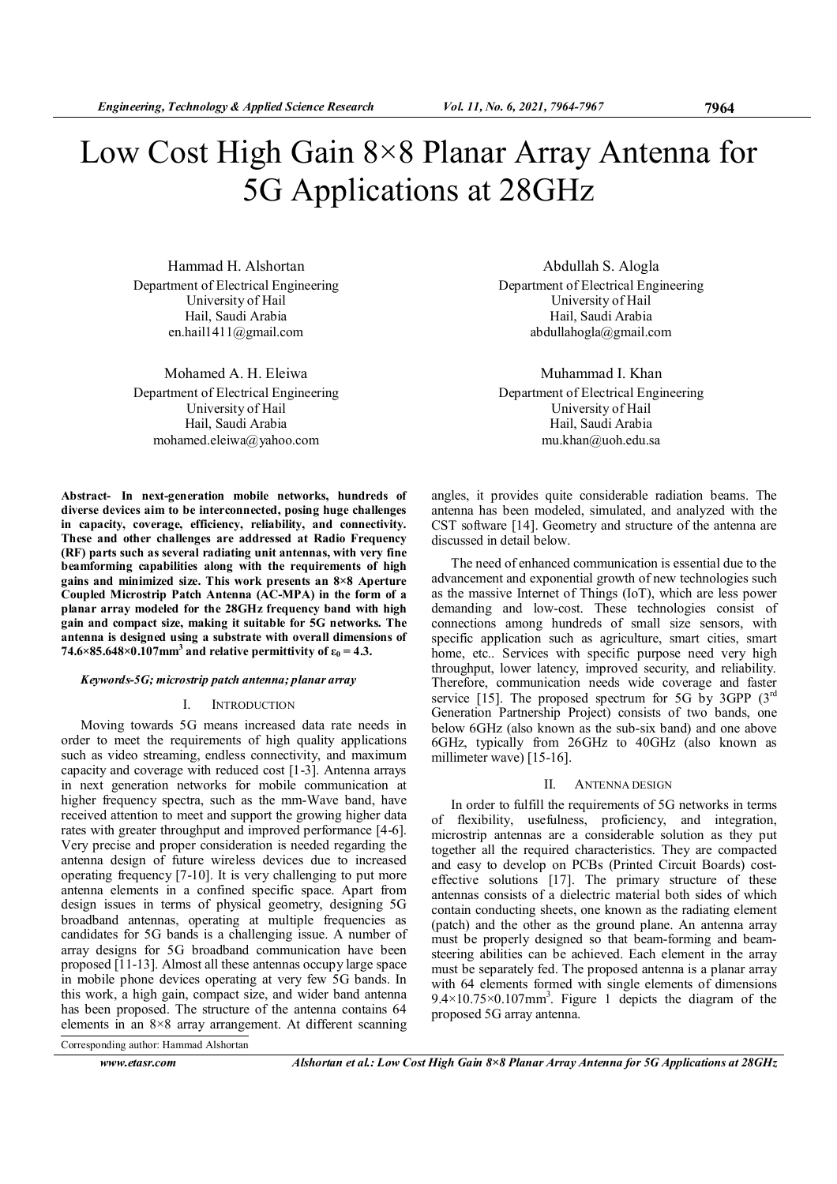# Low Cost High Gain 8×8 Planar Array Antenna for 5G Applications at 28GHz

Hammad H. Alshortan Department of Electrical Engineering University of Hail Hail, Saudi Arabia en.hail1411@gmail.com

Mohamed A. H. Eleiwa Department of Electrical Engineering University of Hail Hail, Saudi Arabia mohamed.eleiwa@yahoo.com

Abstract- In next-generation mobile networks, hundreds of diverse devices aim to be interconnected, posing huge challenges in capacity, coverage, efficiency, reliability, and connectivity. These and other challenges are addressed at Radio Frequency (RF) parts such as several radiating unit antennas, with very fine beamforming capabilities along with the requirements of high gains and minimized size. This work presents an 8×8 Aperture Coupled Microstrip Patch Antenna (AC-MPA) in the form of a planar array modeled for the 28GHz frequency band with high gain and compact size, making it suitable for 5G networks. The antenna is designed using a substrate with overall dimensions of 74.6×85.648×0.107mm<sup>3</sup> and relative permittivity of  $\varepsilon_0 = 4.3$ .

### Keywords-5G; microstrip patch antenna; planar array

## I. INTRODUCTION

Moving towards 5G means increased data rate needs in order to meet the requirements of high quality applications such as video streaming, endless connectivity, and maximum capacity and coverage with reduced cost [1-3]. Antenna arrays in next generation networks for mobile communication at higher frequency spectra, such as the mm-Wave band, have received attention to meet and support the growing higher data rates with greater throughput and improved performance [4-6]. Very precise and proper consideration is needed regarding the antenna design of future wireless devices due to increased operating frequency [7-10]. It is very challenging to put more antenna elements in a confined specific space. Apart from design issues in terms of physical geometry, designing 5G broadband antennas, operating at multiple frequencies as candidates for 5G bands is a challenging issue. A number of array designs for 5G broadband communication have been proposed [11-13]. Almost all these antennas occupy large space in mobile phone devices operating at very few 5G bands. In this work, a high gain, compact size, and wider band antenna has been proposed. The structure of the antenna contains 64 elements in an 8×8 array arrangement. At different scanning

Corresponding author: Hammad Alshortan

www.etasr.com Alshortan et al.: Low Cost High Gain 8×8 Planar Array Antenna for 5G Applications at 28GHz

Abdullah S. Alogla Department of Electrical Engineering University of Hail Hail, Saudi Arabia abdullahogla@gmail.com

Muhammad I. Khan Department of Electrical Engineering University of Hail Hail, Saudi Arabia mu.khan@uoh.edu.sa

angles, it provides quite considerable radiation beams. The antenna has been modeled, simulated, and analyzed with the CST software [14]. Geometry and structure of the antenna are discussed in detail below.

The need of enhanced communication is essential due to the advancement and exponential growth of new technologies such as the massive Internet of Things (IoT), which are less power demanding and low-cost. These technologies consist of connections among hundreds of small size sensors, with specific application such as agriculture, smart cities, smart home, etc.. Services with specific purpose need very high throughput, lower latency, improved security, and reliability. Therefore, communication needs wide coverage and faster service [15]. The proposed spectrum for 5G by 3GPP  $(3^{rd}$ Generation Partnership Project) consists of two bands, one below 6GHz (also known as the sub-six band) and one above 6GHz, typically from 26GHz to 40GHz (also known as millimeter wave) [15-16].

# II. ANTENNA DESIGN

In order to fulfill the requirements of 5G networks in terms of flexibility, usefulness, proficiency, and integration, microstrip antennas are a considerable solution as they put together all the required characteristics. They are compacted and easy to develop on PCBs (Printed Circuit Boards) costeffective solutions [17]. The primary structure of these antennas consists of a dielectric material both sides of which contain conducting sheets, one known as the radiating element (patch) and the other as the ground plane. An antenna array must be properly designed so that beam-forming and beamsteering abilities can be achieved. Each element in the array must be separately fed. The proposed antenna is a planar array with 64 elements formed with single elements of dimensions  $9.4 \times 10.75 \times 0.107$  mm<sup>3</sup>. Figure 1 depicts the diagram of the proposed 5G array antenna.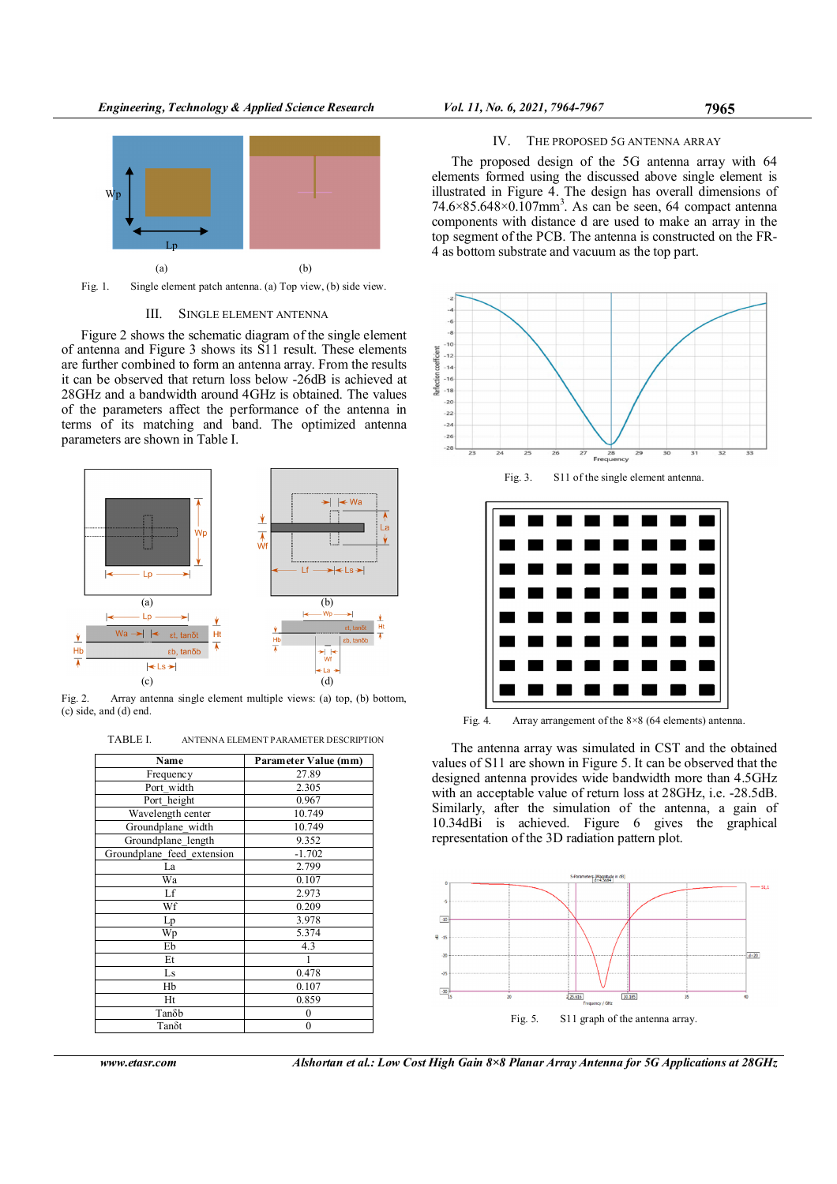

Fig. 1. Single element patch antenna. (a) Top view, (b) side view.

# III. SINGLE ELEMENT ANTENNA

Figure 2 shows the schematic diagram of the single element of antenna and Figure 3 shows its S11 result. These elements are further combined to form an antenna array. From the results it can be observed that return loss below -26dB is achieved at 28GHz and a bandwidth around 4GHz is obtained. The values of the parameters affect the performance of the antenna in terms of its matching and band. The optimized antenna parameters are shown in Table I.



Fig. 2. Array antenna single element multiple views: (a) top, (b) bottom, (c) side, and (d) end.

TABLE I. ANTENNA ELEMENT PARAMETER DESCRIPTION

| Name                       | Parameter Value (mm) |  |  |
|----------------------------|----------------------|--|--|
|                            |                      |  |  |
| Frequency                  | 27.89                |  |  |
| Port width                 | 2.305                |  |  |
| Port height                | 0.967                |  |  |
| Wavelength center          | 10.749               |  |  |
| Groundplane_width          | 10.749               |  |  |
| Groundplane length         | 9.352                |  |  |
| Groundplane feed extension | $-1.702$             |  |  |
| La                         | 2.799                |  |  |
| Wa                         | 0.107                |  |  |
| Lf                         | 2.973                |  |  |
| Wf                         | 0.209                |  |  |
| Lp                         | 3.978                |  |  |
| Wp                         | 5.374                |  |  |
| Eb                         | 4.3                  |  |  |
| Et                         |                      |  |  |
| Ls                         | 0.478                |  |  |
| Hb                         | 0.107                |  |  |
| Ht                         | 0.859                |  |  |
| Tanδb                      | $\mathbf{0}$         |  |  |
| Tanδt                      | $\mathbf{0}$         |  |  |

## IV. THE PROPOSED 5G ANTENNA ARRAY

The proposed design of the 5G antenna array with 64 elements formed using the discussed above single element is illustrated in Figure 4. The design has overall dimensions of  $74.6 \times 85.648 \times 0.107$ mm<sup>3</sup>. As can be seen, 64 compact antenna components with distance d are used to make an array in the top segment of the PCB. The antenna is constructed on the FR-4 as bottom substrate and vacuum as the top part.



The antenna array was simulated in CST and the obtained values of S11 are shown in Figure 5. It can be observed that the designed antenna provides wide bandwidth more than 4.5GHz with an acceptable value of return loss at 28GHz, i.e. -28.5dB. Similarly, after the simulation of the antenna, a gain of 10.34dBi is achieved. Figure 6 gives the graphical representation of the 3D radiation pattern plot.



www.etasr.com Alshortan et al.: Low Cost High Gain 8×8 Planar Array Antenna for 5G Applications at 28GHz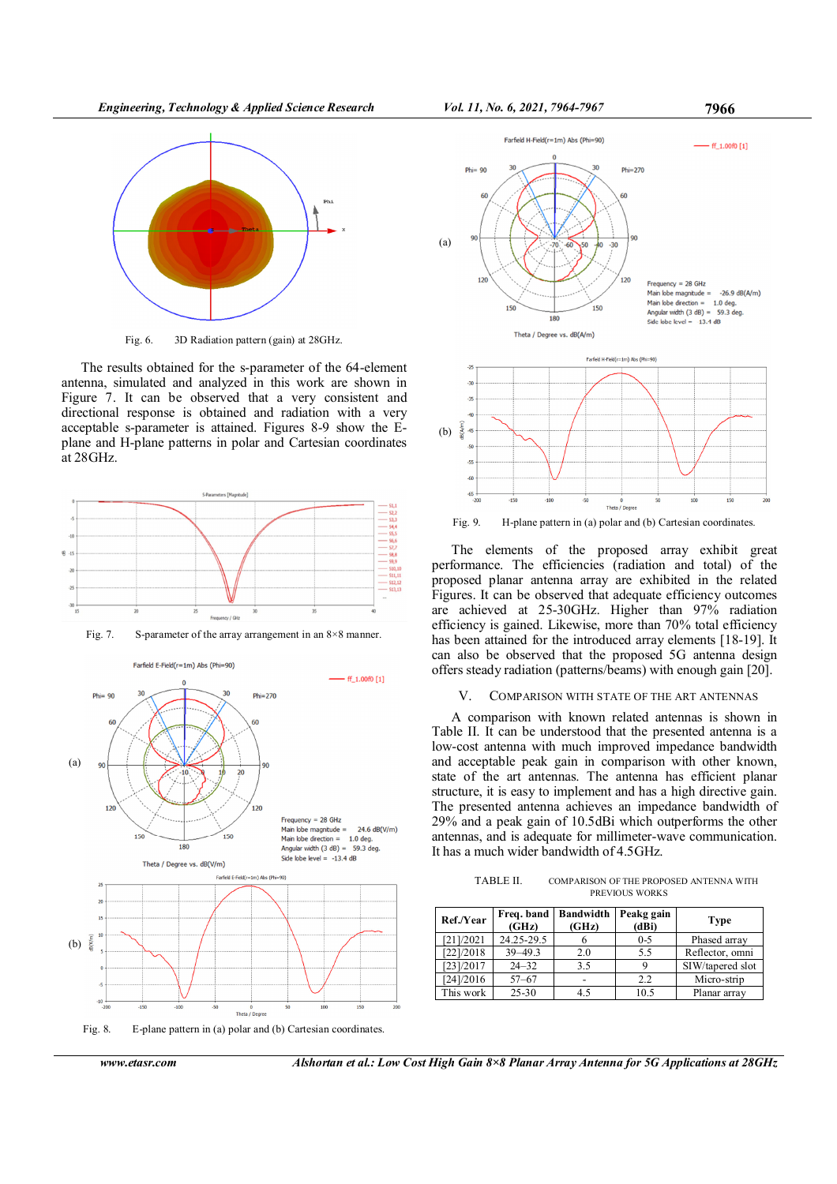Engineering, Technology & Applied Science Research Vol. 11, No. 6, 2021, 7964-7967 7966



Fig. 6. 3D Radiation pattern (gain) at 28GHz.

The results obtained for the s-parameter of the 64-element antenna, simulated and analyzed in this work are shown in Figure 7. It can be observed that a very consistent and directional response is obtained and radiation with a very acceptable s-parameter is attained. Figures 8-9 show the Eplane and H-plane patterns in polar and Cartesian coordinates at 28GHz.







Fig. 8. E-plane pattern in (a) polar and (b) Cartesian coordinates.

www.etasr.com Alshortan et al.: Low Cost High Gain 8×8 Planar Array Antenna for 5G Applications at 28GHz





Fig. 9. H-plane pattern in (a) polar and (b) Cartesian coordinates.

The elements of the proposed array exhibit great performance. The efficiencies (radiation and total) of the proposed planar antenna array are exhibited in the related Figures. It can be observed that adequate efficiency outcomes are achieved at 25-30GHz. Higher than 97% radiation efficiency is gained. Likewise, more than 70% total efficiency has been attained for the introduced array elements [18-19]. It can also be observed that the proposed 5G antenna design offers steady radiation (patterns/beams) with enough gain [20].

## V. COMPARISON WITH STATE OF THE ART ANTENNAS

A comparison with known related antennas is shown in Table II. It can be understood that the presented antenna is a low-cost antenna with much improved impedance bandwidth and acceptable peak gain in comparison with other known, state of the art antennas. The antenna has efficient planar structure, it is easy to implement and has a high directive gain. The presented antenna achieves an impedance bandwidth of 29% and a peak gain of 10.5dBi which outperforms the other antennas, and is adequate for millimeter-wave communication. It has a much wider bandwidth of 4.5GHz.

| TABLE II.      | COMPARISON OF THE PROPOSED ANTENNA WITH |  |  |
|----------------|-----------------------------------------|--|--|
| PREVIOUS WORKS |                                         |  |  |

| Ref./Year | (GHz)       | Freq. band   Bandwidth<br>(GHz) | Peakg gain<br>(dBi) | <b>Type</b>      |
|-----------|-------------|---------------------------------|---------------------|------------------|
| [21]/2021 | 24.25-29.5  |                                 | $0 - 5$             | Phased array     |
| [22]/2018 | $39 - 49.3$ | 2.0                             | 5.5                 | Reflector, omni  |
| [23]/2017 | $24 - 32$   | 3.5                             |                     | SIW/tapered slot |
| [24]/2016 | $57 - 67$   |                                 | 2.2                 | Micro-strip      |
| This work | $25 - 30$   | 4.5                             | 10.5                | Planar array     |